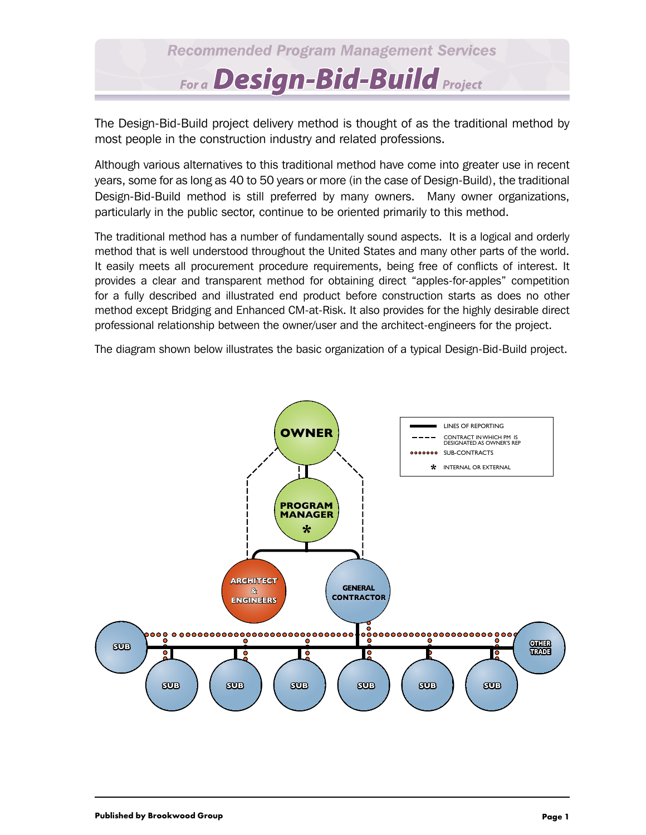

The Design-Bid-Build project delivery method is thought of as the traditional method by most people in the construction industry and related professions.

Although various alternatives to this traditional method have come into greater use in recent years, some for as long as 40 to 50 years or more (in the case of Design-Build), the traditional Design-Bid-Build method is still preferred by many owners. Many owner organizations, particularly in the public sector, continue to be oriented primarily to this method.

The traditional method has a number of fundamentally sound aspects. It is a logical and orderly method that is well understood throughout the United States and many other parts of the world. It easily meets all procurement procedure requirements, being free of conflicts of interest. It provides a clear and transparent method for obtaining direct "apples-for-apples" competition for a fully described and illustrated end product before construction starts as does no other method except Bridging and Enhanced CM-at-Risk. It also provides for the highly desirable direct professional relationship between the owner/user and the architect-engineers for the project.

The diagram shown below illustrates the basic organization of a typical Design-Bid-Build project.

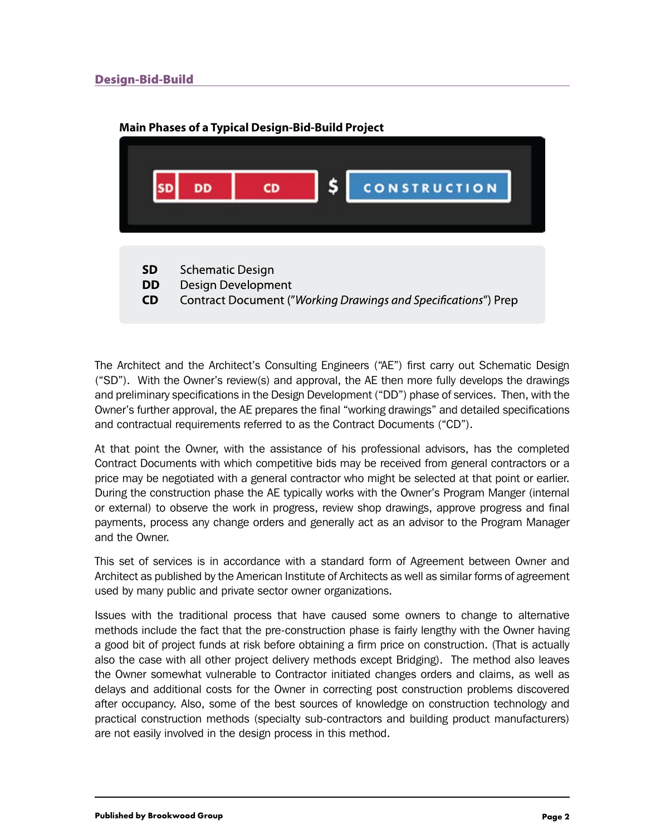# Design-Bid-Build

## **Main Phases of a Typical Design-Bid-Build Project**

|           |                                                                |  |  | <b>CONSTRUCTION</b> |
|-----------|----------------------------------------------------------------|--|--|---------------------|
| <b>SD</b> | <b>Schematic Design</b>                                        |  |  |                     |
| <b>DD</b> | Design Development                                             |  |  |                     |
| <b>CD</b> | Contract Document ("Working Drawings and Specifications") Prep |  |  |                     |

The Architect and the Architect's Consulting Engineers ("AE") first carry out Schematic Design ("SD"). With the Owner's review(s) and approval, the AE then more fully develops the drawings and preliminary specifications in the Design Development ("DD") phase of services. Then, with the Owner's further approval, the AE prepares the final "working drawings" and detailed specifications and contractual requirements referred to as the Contract Documents ("CD").

At that point the Owner, with the assistance of his professional advisors, has the completed Contract Documents with which competitive bids may be received from general contractors or a price may be negotiated with a general contractor who might be selected at that point or earlier. During the construction phase the AE typically works with the Owner's Program Manger (internal or external) to observe the work in progress, review shop drawings, approve progress and final payments, process any change orders and generally act as an advisor to the Program Manager and the Owner.

This set of services is in accordance with a standard form of Agreement between Owner and Architect as published by the American Institute of Architects as well as similar forms of agreement used by many public and private sector owner organizations.

Issues with the traditional process that have caused some owners to change to alternative methods include the fact that the pre-construction phase is fairly lengthy with the Owner having a good bit of project funds at risk before obtaining a firm price on construction. (That is actually also the case with all other project delivery methods except Bridging). The method also leaves the Owner somewhat vulnerable to Contractor initiated changes orders and claims, as well as delays and additional costs for the Owner in correcting post construction problems discovered after occupancy. Also, some of the best sources of knowledge on construction technology and practical construction methods (specialty sub-contractors and building product manufacturers) are not easily involved in the design process in this method.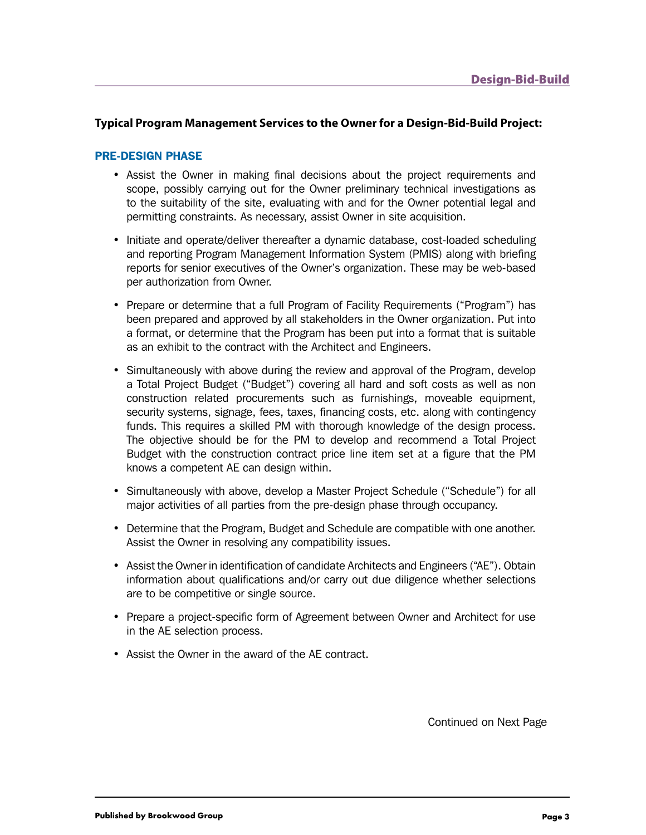# **Typical Program Management Services to the Owner for a Design-Bid-Build Project:**

#### Pre-Design Phase

- Assist the Owner in making final decisions about the project requirements and scope, possibly carrying out for the Owner preliminary technical investigations as to the suitability of the site, evaluating with and for the Owner potential legal and permitting constraints. As necessary, assist Owner in site acquisition.
- Initiate and operate/deliver thereafter a dynamic database, cost-loaded scheduling and reporting Program Management Information System (PMIS) along with briefing reports for senior executives of the Owner's organization. These may be web-based per authorization from Owner.
- Prepare or determine that a full Program of Facility Requirements ("Program") has been prepared and approved by all stakeholders in the Owner organization. Put into a format, or determine that the Program has been put into a format that is suitable as an exhibit to the contract with the Architect and Engineers.
- Simultaneously with above during the review and approval of the Program, develop a Total Project Budget ("Budget") covering all hard and soft costs as well as non construction related procurements such as furnishings, moveable equipment, security systems, signage, fees, taxes, financing costs, etc. along with contingency funds. This requires a skilled PM with thorough knowledge of the design process. The objective should be for the PM to develop and recommend a Total Project Budget with the construction contract price line item set at a figure that the PM knows a competent AE can design within.
- Simultaneously with above, develop a Master Project Schedule ("Schedule") for all major activities of all parties from the pre-design phase through occupancy.
- Determine that the Program, Budget and Schedule are compatible with one another. Assist the Owner in resolving any compatibility issues.
- • Assist the Owner in identification of candidate Architects and Engineers ("AE"). Obtain information about qualifications and/or carry out due diligence whether selections are to be competitive or single source.
- Prepare a project-specific form of Agreement between Owner and Architect for use in the AE selection process.
- Assist the Owner in the award of the AE contract.

Continued on Next Page